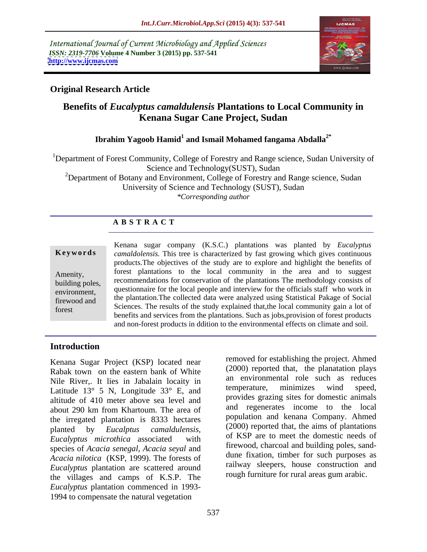International Journal of Current Microbiology and Applied Sciences *ISSN: 2319-7706* **Volume 4 Number 3 (2015) pp. 537-541 <http://www.ijcmas.com>**



# **Original Research Article**

# **Benefits of** *Eucalyptus camaldulensis* **Plantations to Local Community in Kenana Sugar Cane Project, Sudan**

# **Ibrahim Yagoob Hamid<sup>1</sup> and Ismail Mohamed fangama Abdalla2\***

<sup>1</sup>Department of Forest Community, College of Forestry and Range science, Sudan University of Science and Technology(SUST), Sudan <sup>2</sup>Department of Botany and Environment, College of Forestry and Range science, Sudan University of Science and Technology (SUST), Sudan *\*Corresponding author*

# **A B S T R A C T**

forest

Kenana sugar company (K.S.C.) plantations was planted by *Eucalyptus camaldolensis.* This tree is characterized by fast growing which gives continuous **Ke ywo rds** products.The objectives of the study are to explore and highlight the benefits of forest plantations to the local community in the area and to suggest Amenity, recommendations for conservation of the plantations The methodology consists of building poles, environment, questionnaire for the local people and interview for the officials staff who work in the plantation.The collected data were analyzed using Statistical Pakage of Social firewood and Sciences. The results of the study explained that,the local community gain a lot of benefits and services from the plantations. Such as jobs,provision of forest products and non-forest products in ddition to the environmental effects on climate and soil.

# **Introduction**

Kenana Sugar Project (KSP) located near Rabak town on the eastern bank of White Nile River, It lies in Jabalain locaity in the environmental role such as requires  $\frac{12^{\circ} \times 5}{1000}$  M. Longitude 32° E and temperature, minimizes wind speed, Latitude 13° 5 N, Longitude 33° E, and altitude of 410 meter above sea level and about 290 km from Khartoum. The area of the irregated plantation is 8333 hectares planted by *Eucalptus camaldulensis, Eucalyptus microthica* associated with species of *Acacia senegal*, *Acacia seyal* and *Acacia nilotica* (KSP, 1999). The forests of *Eucalyptus* plantation are scattered around the villages and camps of K.S.P. The *Eucalyptus* plantation commenced in 1993- 1994 to compensate the natural vegetation

removed for establishing the project. Ahmed (2000) reported that, the planatation plays an environmental role such as reduces temperature, minimizes wind speed, provides grazing sites for domestic animals and regenerates income to the local population and kenana Company. Ahmed (2000) reported that, the aims of plantations of KSP are to meet the domestic needs of firewood, charcoal and building poles, sand dune fixation, timber for such purposes as railway sleepers, house construction and rough furniture for rural areas gum arabic.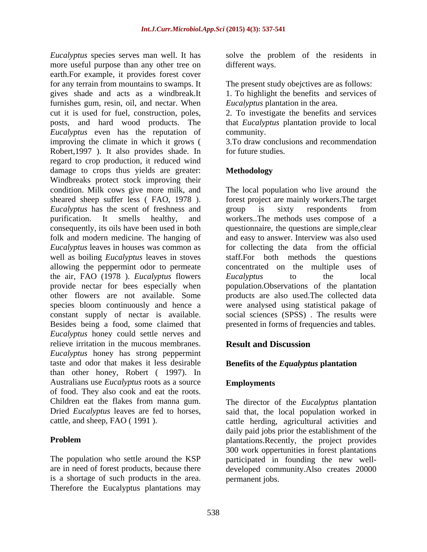*Eucalyptus* species serves man well. It has solve the problem of the residents in more useful purpose than any other tree on earth.For example, it provides forest cover for any terrain from mountains to swamps. It gives shade and acts as a windbreak.It 1. To highlight the benefits and services of furnishes gum, resin, oil, and nectar. When cut it is used for fuel, construction, poles, 2. To investigate the benefits and services posts, and hard wood products. The that *Eucalyptus* plantation provide to local *Eucalyptus* even has the reputation of improving the climate in which it grows ( Robert, 1997). It also provides shade. In for future studies. regard to crop production, it reduced wind damage to crops thus yields are greater: Methodology Windbreaks protect stock improving their condition. Milk cows give more milk, and sheared sheep suffer less (FAO, 1978). **Example 6** forest project are mainly workers. The target *Eucalyptus* has the scent of freshness and **group** is sixty respondents from purification. It smells healthy, and workers..The methods uses compose of a consequently, its oils have been used in both questionnaire, the questions are simple,clear folk and modern medicine. The hanging of and easy to answer. Interview was also used *Eucalyptus* leaves in houses was common as well as boiling *Eucalyptus* leaves in stoves staff.For both methods the questions allowing the peppermint odor to permeate the air, FAO (1978 ). *Eucalyptus* flowers provide nectar for bees especially when population.Observations of the plantation other flowers are not available. Some products are also used.The collected data species bloom continuously and hence a were analysed using statistical pakage of constant supply of nectar is available. Besides being a food, some claimed that *Eucalyptus* honey could settle nerves and relieve irritation in the mucous membranes. **Result and Discussion** *Eucalyptus* honey has strong peppermint taste and odor that makes it less desirable **Benefits of the** *Equalyptus* **plantation** than other honey, Robert ( 1997). In Australians use *Eucalyptus* roots as a source of food. They also cook and eat the roots.<br>Children eat the flakes from manna gum. Children eat the flakes from manna gum. The director of the *Eucalyptus* plantation Dried *Eucalyptus* leaves are fed to horses, said that, the local population worked in

is a shortage of such products in the area. Therefore the Eucalyptus plantations may different ways.

The present study obejctives are as follows:

*Eucalyptus* plantation in the area.

community.

3.To draw conclusions and recommendation for future studies.

# **Methodology**

The local population who live around the forest project are mainly workers.The target group is sixty respondents from for collecting the data from the official concentrated on the multiple uses of *Eucalyptus* to the local social sciences (SPSS) . The results were presented in forms of frequencies and tables.

# **Result and Discussion**

# **Employments**

cattle, and sheep, FAO ( 1991 ). cattle herding, agricultural activities and **Problem plantations.Recently, the project provides** The population who settle around theKSP participated in founding the new well are in need of forest products, because there developed community.Also creates 20000 daily paid jobs prior the establishment of the 300 work oppertunities in forest plantations permanent jobs.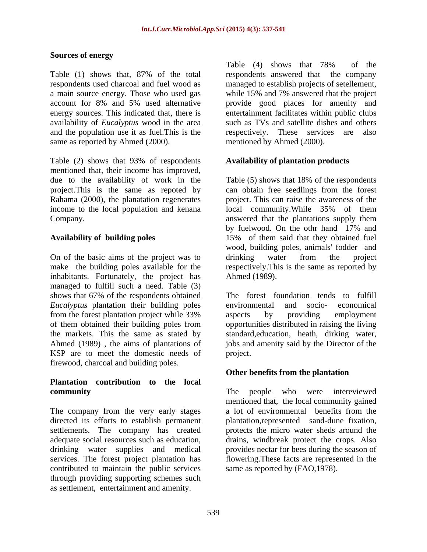### **Sources of energy**

a main source energy. Those who used gas while 15% and 7% answered that the project availability of *Eucalyptus* wood in the area and the population use it as fuel. This is the exercisely. These services are also same as reported by Ahmed (2000).

Table (2) shows that 93% of respondents mentioned that, their income has improved, income to the local population and kenana local community. While 35% of them

On of the basic aims of the project was to drinking water from the project make the building poles available for the respectively. This is the same as reported by inhabitants. Fortunately, the project has managed to fulfill such a need. Table (3) shows that 67% of the respondents obtained *Eucalyptus* plantation their building poles environmental and socio-economical from the forest plantation project while 33% of them obtained their building poles from opportunities distributed in raising the living the markets. This the same as stated by standard,education, heath, dirking water, Ahmed (1989) , the aims of plantations of jobs and amenity said by the Director of the KSP are to meet the domestic needs of project. firewood, charcoal and building poles.

# **Plantation contribution to the local community** The people who were intereviewed

The company from the very early stages a lot of environmental benefits from the directed its efforts to establish permanent plantation,represented sand-dune fixation, settlements. The company has created protects the micro water sheds around the adequate social resources such as education, drains, windbreak protect the crops. Also drinking water supplies and medical provides nectar for bees during the season of services. The forest project plantation has flowering.These facts are represented in the contributed to maintain the public services through providing supporting schemes such as settlement, entertainment and amenity.

Table (1) shows that, 87% of the total respondents used charcoal and fuel wood as managed to establish projects of setellement, account for 8% and 5% used alternative provide good places for amenity and energy sources. This indicated that, there is entertainment facilitates within public clubs Table (4) shows that 78% of the respondents answered that the company while 15% and 7% answered that the project such as TVs and satellite dishes and others respectively. These services are mentioned by Ahmed (2000).

# **Availability of plantation products**

due to the availability of work in the Table (5) shows that 18% of the respondents project.This is the same as repoted by can obtain free seedlings from the forest Rahama (2000), the planatation regenerates project. This can raise the awareness of the Company. answered that the plantations supply them **Availability of building poles** 15% of them said that they obtained fuel local community.While 35% of them by fuelwood. On the othr hand 17% and wood, building poles, animals' fodder and drinking water from the project Ahmed (1989).

> The forest foundation tends to fulfill environmental and socio- economical aspects by providing employment project.

### **Other benefits from the plantation**

The people who were intereviewed mentioned that, the local community gained a lot of environmental benefits from the same as reported by (FAO, 1978).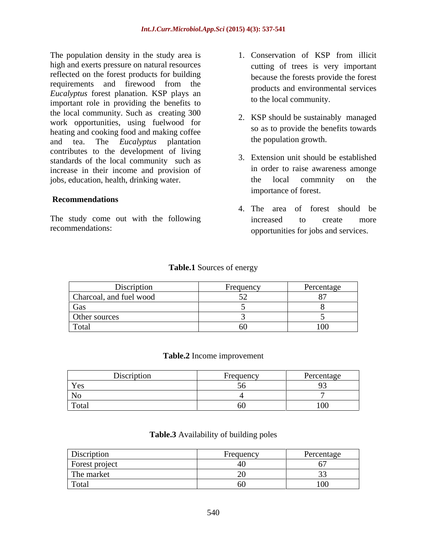The population density in the study area is **1.** Conservation of KSP from illicit high and exerts pressure on natural resources reflected on the forest products for building requirements and firewood from the *Eucalyptus* forest planation. KSP plays an important role in providing the benefits to the local community. Such as creating 300 work opportunities, using fuelwood for heating and cooking food and making coffee and tea. The *Eucalyptus* plantation contributes to the development of living standards of the local community such as increase in their income and provision of jobs, education, health, drinking water.

### **Recommendations**

The study come out with the following the increased to create more

- 1. Conservation of KSP from illicit cutting of trees is very important because the forests provide the forest products and environmental services to the local community.
- 2. KSP should be sustainably managed so as to provide the benefits towards the population growth.
- 3. Extension unit should be established in order to raise awareness amonge the local commnity on the importance of forest.
- recommendations: opportunities for jobs and services. 4. The area of forest should be increased to create more

| <b>Table.1</b> Sources of energy |  |
|----------------------------------|--|
| --                               |  |

| Discription             | Frequency | Percentage |
|-------------------------|-----------|------------|
| Charcoal, and fuel wood |           |            |
| Gas                     |           |            |
| Other sources           |           |            |
| Total                   |           |            |

### **Table.2** Income improvement

| - 1DI | .<br>4001<br>$\sim$ 100 | $\triangle$ Creditage |
|-------|-------------------------|-----------------------|
| Yes   |                         |                       |
| NL.   |                         | $\sim$                |
| Total |                         |                       |

### **Table.3** Availability of building poles

| <b>Discription</b> | $H_{1}^{*}$<br>nuquelle | Percentage |
|--------------------|-------------------------|------------|
| Forest project     |                         |            |
| The market         |                         |            |
| Total              |                         |            |